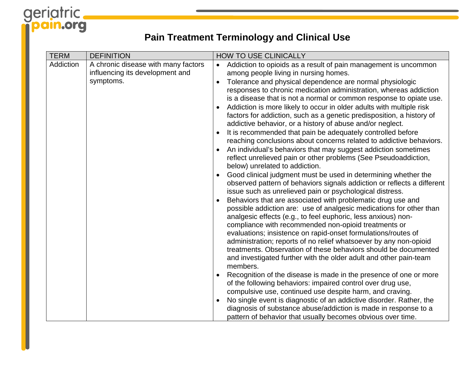# geriatric.

### **Pain Treatment Terminology and Clinical Use**

| <b>TERM</b> | <b>DEFINITION</b>                                                      |           | <b>HOW TO USE CLINICALLY</b>                                                                                                                  |
|-------------|------------------------------------------------------------------------|-----------|-----------------------------------------------------------------------------------------------------------------------------------------------|
| Addiction   | A chronic disease with many factors<br>influencing its development and | $\bullet$ | Addiction to opioids as a result of pain management is uncommon<br>among people living in nursing homes.                                      |
|             | symptoms.                                                              | $\bullet$ | Tolerance and physical dependence are normal physiologic                                                                                      |
|             |                                                                        |           | responses to chronic medication administration, whereas addiction                                                                             |
|             |                                                                        |           | is a disease that is not a normal or common response to opiate use.                                                                           |
|             |                                                                        | $\bullet$ | Addiction is more likely to occur in older adults with multiple risk<br>factors for addiction, such as a genetic predisposition, a history of |
|             |                                                                        |           | addictive behavior, or a history of abuse and/or neglect.                                                                                     |
|             |                                                                        |           | It is recommended that pain be adequately controlled before                                                                                   |
|             |                                                                        |           | reaching conclusions about concerns related to addictive behaviors.                                                                           |
|             |                                                                        |           | An individual's behaviors that may suggest addiction sometimes                                                                                |
|             |                                                                        |           | reflect unrelieved pain or other problems (See Pseudoaddiction,                                                                               |
|             |                                                                        |           | below) unrelated to addiction.<br>Good clinical judgment must be used in determining whether the                                              |
|             |                                                                        |           | observed pattern of behaviors signals addiction or reflects a different                                                                       |
|             |                                                                        |           | issue such as unrelieved pain or psychological distress.                                                                                      |
|             |                                                                        |           | Behaviors that are associated with problematic drug use and                                                                                   |
|             |                                                                        |           | possible addiction are: use of analgesic medications for other than                                                                           |
|             |                                                                        |           | analgesic effects (e.g., to feel euphoric, less anxious) non-<br>compliance with recommended non-opioid treatments or                         |
|             |                                                                        |           | evaluations; insistence on rapid-onset formulations/routes of                                                                                 |
|             |                                                                        |           | administration; reports of no relief whatsoever by any non-opioid                                                                             |
|             |                                                                        |           | treatments. Observation of these behaviors should be documented                                                                               |
|             |                                                                        |           | and investigated further with the older adult and other pain-team                                                                             |
|             |                                                                        |           | members.                                                                                                                                      |
|             |                                                                        |           | Recognition of the disease is made in the presence of one or more<br>of the following behaviors: impaired control over drug use,              |
|             |                                                                        |           | compulsive use, continued use despite harm, and craving.                                                                                      |
|             |                                                                        | $\bullet$ | No single event is diagnostic of an addictive disorder. Rather, the                                                                           |
|             |                                                                        |           | diagnosis of substance abuse/addiction is made in response to a                                                                               |
|             |                                                                        |           | pattern of behavior that usually becomes obvious over time.                                                                                   |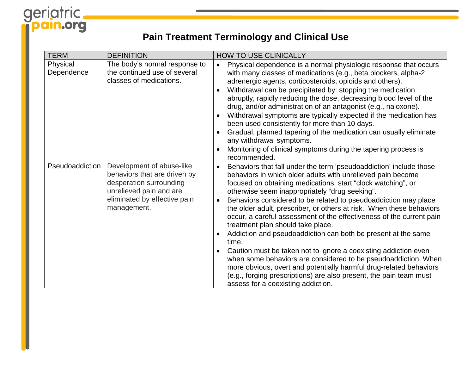# geriatric.

### **Pain Treatment Terminology and Clinical Use**

| <b>TERM</b>            | <b>DEFINITION</b>                                                                                                                                              | <b>HOW TO USE CLINICALLY</b>                                                                                                                                                                                                                                                                                                                                                                                                                                                                                                                                                                                                                                                                                                                                                                                                                                                                                                                        |
|------------------------|----------------------------------------------------------------------------------------------------------------------------------------------------------------|-----------------------------------------------------------------------------------------------------------------------------------------------------------------------------------------------------------------------------------------------------------------------------------------------------------------------------------------------------------------------------------------------------------------------------------------------------------------------------------------------------------------------------------------------------------------------------------------------------------------------------------------------------------------------------------------------------------------------------------------------------------------------------------------------------------------------------------------------------------------------------------------------------------------------------------------------------|
| Physical<br>Dependence | The body's normal response to<br>the continued use of several<br>classes of medications.                                                                       | Physical dependence is a normal physiologic response that occurs<br>$\bullet$<br>with many classes of medications (e.g., beta blockers, alpha-2<br>adrenergic agents, corticosteroids, opioids and others).<br>Withdrawal can be precipitated by: stopping the medication<br>$\bullet$<br>abruptly, rapidly reducing the dose, decreasing blood level of the<br>drug, and/or administration of an antagonist (e.g., naloxone).<br>Withdrawal symptoms are typically expected if the medication has<br>$\bullet$<br>been used consistently for more than 10 days.<br>Gradual, planned tapering of the medication can usually eliminate<br>$\bullet$<br>any withdrawal symptoms.<br>Monitoring of clinical symptoms during the tapering process is<br>recommended.                                                                                                                                                                                    |
| Pseudoaddiction        | Development of abuse-like<br>behaviors that are driven by<br>desperation surrounding<br>unrelieved pain and are<br>eliminated by effective pain<br>management. | Behaviors that fall under the term 'pseudoaddiction' include those<br>$\bullet$<br>behaviors in which older adults with unrelieved pain become<br>focused on obtaining medications, start "clock watching", or<br>otherwise seem inappropriately "drug seeking".<br>Behaviors considered to be related to pseudoaddiction may place<br>$\bullet$<br>the older adult, prescriber, or others at risk. When these behaviors<br>occur, a careful assessment of the effectiveness of the current pain<br>treatment plan should take place.<br>Addiction and pseudoaddiction can both be present at the same<br>time.<br>Caution must be taken not to ignore a coexisting addiction even<br>$\bullet$<br>when some behaviors are considered to be pseudoaddiction. When<br>more obvious, overt and potentially harmful drug-related behaviors<br>(e.g., forging prescriptions) are also present, the pain team must<br>assess for a coexisting addiction. |